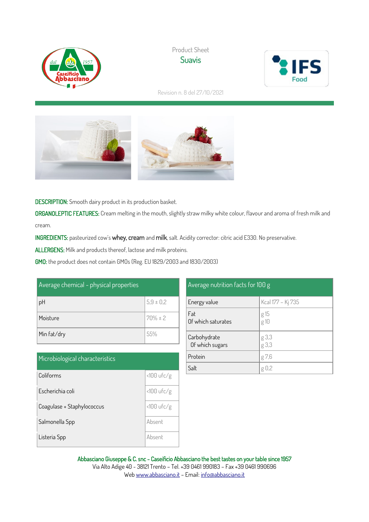

Product Sheet **Suavis** 



Revision n. 8 del 27/10/2021



DESCRIPTION: Smooth dairy product in its production basket.

ORGANOLEPTIC FEATURES: Cream melting in the mouth, slightly straw milky white colour, flavour and aroma of fresh milk and cream.

INGREDIENTS: pasteurized cow's whey, cream and milk, salt. Acidity corrector: citric acid E330. No preservative.

ALLERGENS: Milk and products thereof, lactose and milk proteins.

GMO: the product does not contain GMOs (Reg. EU 1829/2003 and 1830/2003)

| Average chemical - physical properties |               |  |  |
|----------------------------------------|---------------|--|--|
| pH                                     | $5.9 \pm 0.2$ |  |  |
| Moisture                               | $70\% \pm 2$  |  |  |
| Min fat/dry                            | 55%           |  |  |

| Microbiological characteristics |              |
|---------------------------------|--------------|
| Coliforms                       | $<100$ ufc/g |
| Escherichia coli                | $<100$ ufc/g |
| Coagulase + Staphylococcus      | $<100$ ufc/g |
| Salmonella Spp                  | Absent       |
| Listeria Spp                    | Ahsent       |

| Average nutrition facts for 100 g |                   |  |  |  |
|-----------------------------------|-------------------|--|--|--|
| Energy value                      | Kcal 177 - Kj 735 |  |  |  |
| Fat<br>Of which saturates         | g 15<br>g 10      |  |  |  |
| Carbohydrate<br>Of which sugars   | g 3,3<br>g 3,3    |  |  |  |
| Protein                           | g 7,6             |  |  |  |
| Salt                              |                   |  |  |  |

Abbasciano Giuseppe & C. snc - Caseificio Abbasciano the best tastes on your table since 1957 Via Alto Adige 40 - 38121 Trento – Tel. +39 0461 990183 – Fax +39 0461 990696 We[b www.abbasciano.it](http://www.abbasciano.it/) – Email[: info@abbasciano.it](mailto:info@abbasciano.it)